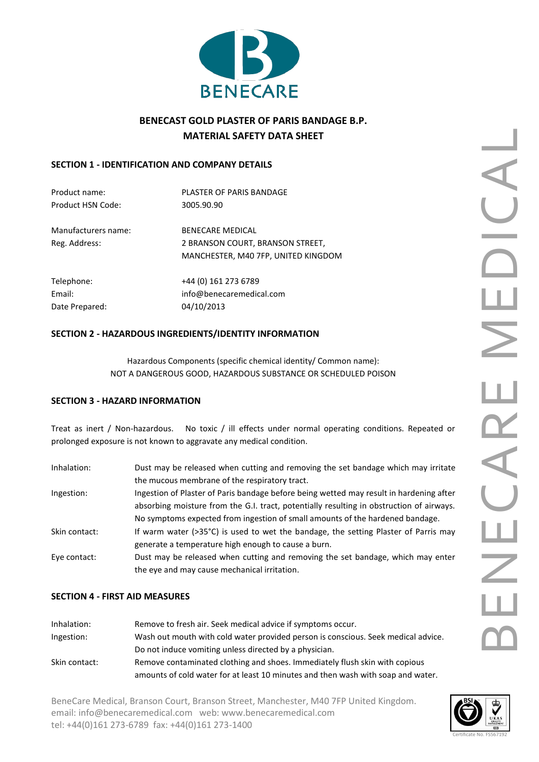

# **BENECAST GOLD PLASTER OF PARIS BANDAGE B.P. MATERIAL SAFETY DATA SHEET**

# **SECTION 1 - IDENTIFICATION AND COMPANY DETAILS**

| Product name:       | PLASTER OF PARIS BANDAGE            |  |
|---------------------|-------------------------------------|--|
| Product HSN Code:   | 3005.90.90                          |  |
| Manufacturers name: | <b>BENECARE MEDICAL</b>             |  |
| Reg. Address:       | 2 BRANSON COURT, BRANSON STREET,    |  |
|                     | MANCHESTER, M40 7FP, UNITED KINGDOM |  |
| Telephone:          | +44 (0) 161 273 6789                |  |
| Email:              | info@benecaremedical.com            |  |
| Date Prepared:      | 04/10/2013                          |  |
|                     |                                     |  |

# **SECTION 2 - HAZARDOUS INGREDIENTS/IDENTITY INFORMATION**

Hazardous Components (specific chemical identity/ Common name): NOT A DANGEROUS GOOD, HAZARDOUS SUBSTANCE OR SCHEDULED POISON

# **SECTION 3 - HAZARD INFORMATION**

Treat as inert / Non-hazardous. No toxic / ill effects under normal operating conditions. Repeated or prolonged exposure is not known to aggravate any medical condition.

| Inhalation:   | Dust may be released when cutting and removing the set bandage which may irritate<br>the mucous membrane of the respiratory tract.                                                  |
|---------------|-------------------------------------------------------------------------------------------------------------------------------------------------------------------------------------|
| Ingestion:    | Ingestion of Plaster of Paris bandage before being wetted may result in hardening after<br>absorbing moisture from the G.I. tract, potentially resulting in obstruction of airways. |
| Skin contact: | No symptoms expected from ingestion of small amounts of the hardened bandage.<br>If warm water ( $>35^{\circ}$ C) is used to wet the bandage, the setting Plaster of Parris may     |
|               | generate a temperature high enough to cause a burn.                                                                                                                                 |
| Eye contact:  | Dust may be released when cutting and removing the set bandage, which may enter<br>the eye and may cause mechanical irritation.                                                     |

# **SECTION 4 - FIRST AID MEASURES**

| Inhalation:   | Remove to fresh air. Seek medical advice if symptoms occur.                       |  |
|---------------|-----------------------------------------------------------------------------------|--|
| Ingestion:    | Wash out mouth with cold water provided person is conscious. Seek medical advice. |  |
|               | Do not induce vomiting unless directed by a physician.                            |  |
| Skin contact: | Remove contaminated clothing and shoes. Immediately flush skin with copious       |  |
|               | amounts of cold water for at least 10 minutes and then wash with soap and water.  |  |

BeneCare Medical, Branson Court, Branson Street, Manchester, M40 7FP United Kingdom. email[: info@benecaremedical.com](mailto:info@benecaremedical.com) web: [www.benecaremedical.com](http://www.benecaremedical.com/) tel: +44(0)161 273-6789 fax: +44(0)161 273-1400

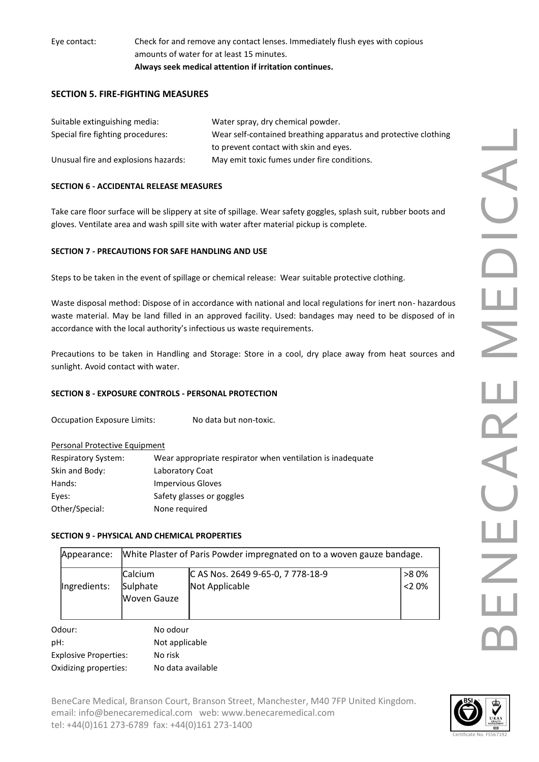Eye contact: Check for and remove any contact lenses. Immediately flush eyes with copious amounts of water for at least 15 minutes. **Always seek medical attention if irritation continues.**

# **SECTION 5. FIRE-FIGHTING MEASURES**

| Suitable extinguishing media:        | Water spray, dry chemical powder.                               |
|--------------------------------------|-----------------------------------------------------------------|
| Special fire fighting procedures:    | Wear self-contained breathing apparatus and protective clothing |
|                                      | to prevent contact with skin and eyes.                          |
| Unusual fire and explosions hazards: | May emit toxic fumes under fire conditions.                     |

## **SECTION 6 - ACCIDENTAL RELEASE MEASURES**

Take care floor surface will be slippery at site of spillage. Wear safety goggles, splash suit, rubber boots and gloves. Ventilate area and wash spill site with water after material pickup is complete.

### **SECTION 7 - PRECAUTIONS FOR SAFE HANDLING AND USE**

Steps to be taken in the event of spillage or chemical release: Wear suitable protective clothing.

Waste disposal method: Dispose of in accordance with national and local regulations for inert non- hazardous waste material. May be land filled in an approved facility. Used: bandages may need to be disposed of in accordance with the local authority's infectious us waste requirements.

Precautions to be taken in Handling and Storage: Store in a cool, dry place away from heat sources and sunlight. Avoid contact with water.

#### **SECTION 8 - EXPOSURE CONTROLS - PERSONAL PROTECTION**

Occupation Exposure Limits: No data but non-toxic.

#### Personal Protective Equipment

| <b>Respiratory System:</b> | Wear appropriate respirator when ventilation is inadequate |
|----------------------------|------------------------------------------------------------|
| Skin and Body:             | Laboratory Coat                                            |
| Hands:                     | Impervious Gloves                                          |
| Eyes:                      | Safety glasses or goggles                                  |
| Other/Special:             | None required                                              |

#### **SECTION 9 - PHYSICAL AND CHEMICAL PROPERTIES**

|                                         | Appearance:           |                                     | White Plaster of Paris Powder impregnated on to a woven gauze bandage. |                 |
|-----------------------------------------|-----------------------|-------------------------------------|------------------------------------------------------------------------|-----------------|
|                                         | Ingredients:          | Calcium<br>Sulphate<br>lWoven Gauze | C AS Nos. 2649 9-65-0, 7 778-18-9<br>Not Applicable                    | >80%<br>$<$ 20% |
|                                         | Odour:                | No odour                            |                                                                        |                 |
| pH:<br>Not applicable                   |                       |                                     |                                                                        |                 |
| <b>Explosive Properties:</b><br>No risk |                       |                                     |                                                                        |                 |
|                                         | Oxidizing properties: | No data available                   |                                                                        |                 |

BeneCare Medical, Branson Court, Branson Street, Manchester, M40 7FP United Kingdom. email[: info@benecaremedical.com](mailto:info@benecaremedical.com) web: [www.benecaremedical.com](http://www.benecaremedical.com/) tel: +44(0)161 273-6789 fax: +44(0)161 273-1400